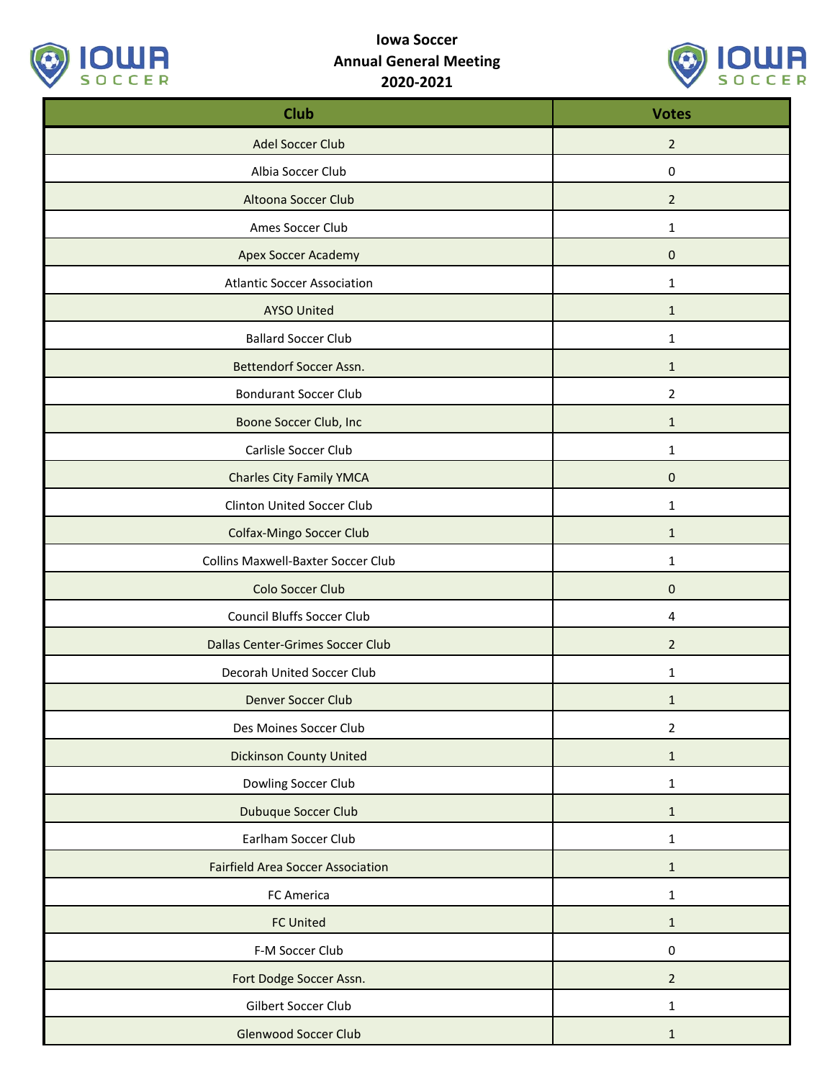

## **Iowa Soccer Annual General Meeting 2020-2021**



| <b>Club</b>                              | <b>Votes</b>   |
|------------------------------------------|----------------|
| Adel Soccer Club                         | $\overline{2}$ |
| Albia Soccer Club                        | $\mathbf 0$    |
| Altoona Soccer Club                      | $\overline{2}$ |
| Ames Soccer Club                         | $\mathbf{1}$   |
| <b>Apex Soccer Academy</b>               | $\mathbf 0$    |
| <b>Atlantic Soccer Association</b>       | $\mathbf{1}$   |
| <b>AYSO United</b>                       | $\mathbf{1}$   |
| <b>Ballard Soccer Club</b>               | 1              |
| Bettendorf Soccer Assn.                  | $\mathbf{1}$   |
| <b>Bondurant Soccer Club</b>             | $\overline{2}$ |
| Boone Soccer Club, Inc                   | $\mathbf{1}$   |
| Carlisle Soccer Club                     | $\mathbf{1}$   |
| <b>Charles City Family YMCA</b>          | $\mathbf 0$    |
| Clinton United Soccer Club               | $\mathbf{1}$   |
| Colfax-Mingo Soccer Club                 | $\mathbf{1}$   |
| Collins Maxwell-Baxter Soccer Club       | $\mathbf{1}$   |
| Colo Soccer Club                         | $\pmb{0}$      |
| <b>Council Bluffs Soccer Club</b>        | 4              |
| Dallas Center-Grimes Soccer Club         | $\overline{2}$ |
| Decorah United Soccer Club               | $\mathbf{1}$   |
| Denver Soccer Club                       | $\mathbf{1}$   |
| Des Moines Soccer Club                   | $\overline{2}$ |
| <b>Dickinson County United</b>           | $\mathbf{1}$   |
| Dowling Soccer Club                      | $\mathbf{1}$   |
| Dubuque Soccer Club                      | $\mathbf 1$    |
| Earlham Soccer Club                      | $\mathbf{1}$   |
| <b>Fairfield Area Soccer Association</b> | $\mathbf{1}$   |
| FC America                               | $\mathbf{1}$   |
| <b>FC United</b>                         | $\mathbf{1}$   |
| F-M Soccer Club                          | $\pmb{0}$      |
| Fort Dodge Soccer Assn.                  | $\overline{2}$ |
| Gilbert Soccer Club                      | $\mathbf 1$    |
| <b>Glenwood Soccer Club</b>              | $\mathbf{1}$   |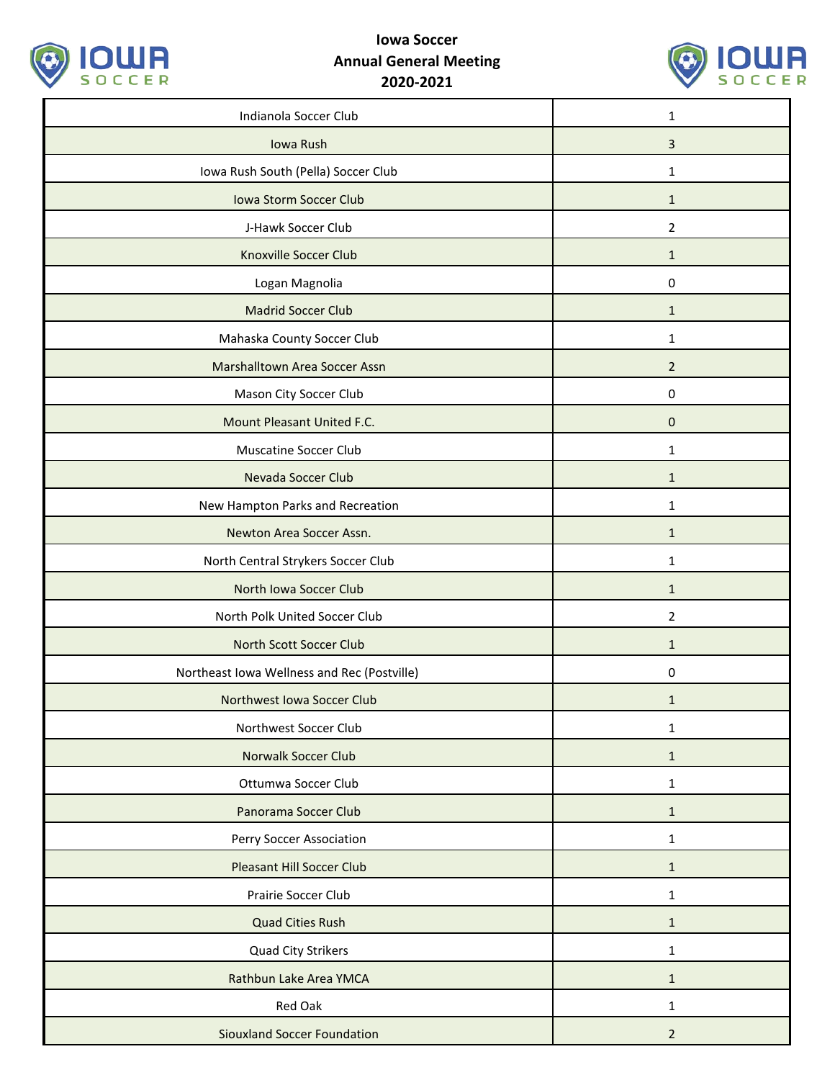

## **Iowa Soccer Annual General Meeting 2020-2021**



| Indianola Soccer Club                       | $\mathbf{1}$   |
|---------------------------------------------|----------------|
| Iowa Rush                                   | 3              |
| Iowa Rush South (Pella) Soccer Club         | 1              |
| Iowa Storm Soccer Club                      | $\mathbf{1}$   |
| J-Hawk Soccer Club                          | 2              |
| <b>Knoxville Soccer Club</b>                | $\mathbf{1}$   |
| Logan Magnolia                              | $\mathbf 0$    |
| <b>Madrid Soccer Club</b>                   | $\mathbf{1}$   |
| Mahaska County Soccer Club                  | 1              |
| Marshalltown Area Soccer Assn               | $\overline{2}$ |
| Mason City Soccer Club                      | 0              |
| Mount Pleasant United F.C.                  | $\mathbf{0}$   |
| <b>Muscatine Soccer Club</b>                | 1              |
| Nevada Soccer Club                          | $\mathbf{1}$   |
| New Hampton Parks and Recreation            | $\mathbf{1}$   |
| Newton Area Soccer Assn.                    | $\mathbf{1}$   |
| North Central Strykers Soccer Club          | $\mathbf{1}$   |
| North Iowa Soccer Club                      | $\mathbf{1}$   |
| North Polk United Soccer Club               | 2              |
| North Scott Soccer Club                     | $\mathbf{1}$   |
| Northeast Iowa Wellness and Rec (Postville) | 0              |
| Northwest Iowa Soccer Club                  | $\mathbf{1}$   |
| Northwest Soccer Club                       | $\mathbf{1}$   |
| <b>Norwalk Soccer Club</b>                  | $\mathbf{1}$   |
| Ottumwa Soccer Club                         | $\mathbf{1}$   |
| Panorama Soccer Club                        | $\mathbf{1}$   |
| Perry Soccer Association                    | $\mathbf{1}$   |
| <b>Pleasant Hill Soccer Club</b>            | $\mathbf{1}$   |
| Prairie Soccer Club                         | $\mathbf{1}$   |
| <b>Quad Cities Rush</b>                     | $\mathbf{1}$   |
| Quad City Strikers                          | $\mathbf{1}$   |
| Rathbun Lake Area YMCA                      | $\mathbf{1}$   |
| Red Oak                                     | $\mathbf{1}$   |
| <b>Siouxland Soccer Foundation</b>          | $\overline{2}$ |